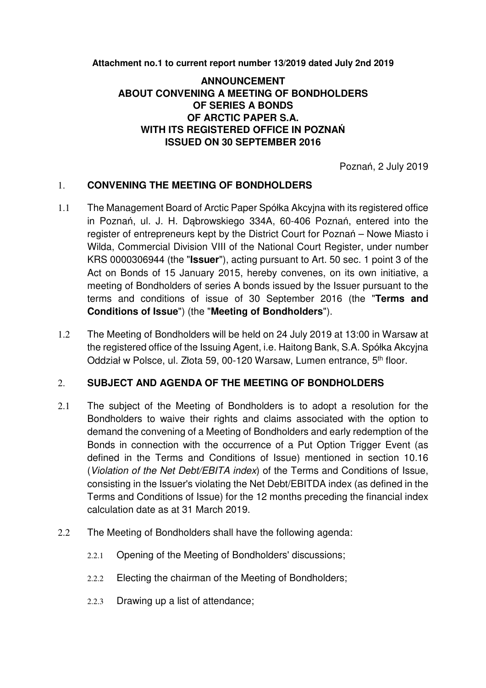**Attachment no.1 to current report number 13/2019 dated July 2nd 2019** 

## **ANNOUNCEMENT ABOUT CONVENING A MEETING OF BONDHOLDERS OF SERIES A BONDS OF ARCTIC PAPER S.A. WITH ITS REGISTERED OFFICE IN POZNAŃ ISSUED ON 30 SEPTEMBER 2016**

Poznań, 2 July 2019

## 1. **CONVENING THE MEETING OF BONDHOLDERS**

- 1.1 The Management Board of Arctic Paper Spółka Akcyjna with its registered office in Poznań, ul. J. H. Dąbrowskiego 334A, 60-406 Poznań, entered into the register of entrepreneurs kept by the District Court for Poznań – Nowe Miasto i Wilda, Commercial Division VIII of the National Court Register, under number KRS 0000306944 (the "**Issuer**"), acting pursuant to Art. 50 sec. 1 point 3 of the Act on Bonds of 15 January 2015, hereby convenes, on its own initiative, a meeting of Bondholders of series A bonds issued by the Issuer pursuant to the terms and conditions of issue of 30 September 2016 (the "**Terms and Conditions of Issue**") (the "**Meeting of Bondholders**").
- 1.2 The Meeting of Bondholders will be held on 24 July 2019 at 13:00 in Warsaw at the registered office of the Issuing Agent, i.e. Haitong Bank, S.A. Spółka Akcyjna Oddział w Polsce, ul. Złota 59, 00-120 Warsaw, Lumen entrance, 5<sup>th</sup> floor.

## 2. **SUBJECT AND AGENDA OF THE MEETING OF BONDHOLDERS**

- 2.1 The subject of the Meeting of Bondholders is to adopt a resolution for the Bondholders to waive their rights and claims associated with the option to demand the convening of a Meeting of Bondholders and early redemption of the Bonds in connection with the occurrence of a Put Option Trigger Event (as defined in the Terms and Conditions of Issue) mentioned in section 10.16 (Violation of the Net Debt/EBITA index) of the Terms and Conditions of Issue, consisting in the Issuer's violating the Net Debt/EBITDA index (as defined in the Terms and Conditions of Issue) for the 12 months preceding the financial index calculation date as at 31 March 2019.
- 2.2 The Meeting of Bondholders shall have the following agenda:
	- 2.2.1 Opening of the Meeting of Bondholders' discussions;
	- 2.2.2 Electing the chairman of the Meeting of Bondholders;
	- 2.2.3 Drawing up a list of attendance;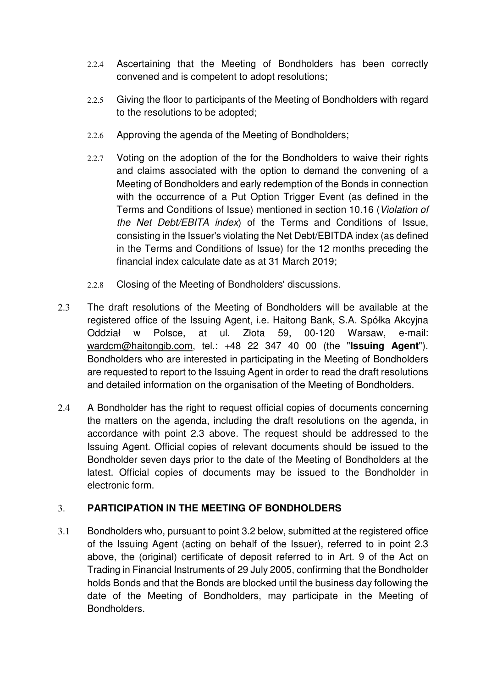- 2.2.4 Ascertaining that the Meeting of Bondholders has been correctly convened and is competent to adopt resolutions;
- 2.2.5 Giving the floor to participants of the Meeting of Bondholders with regard to the resolutions to be adopted;
- 2.2.6 Approving the agenda of the Meeting of Bondholders;
- 2.2.7 Voting on the adoption of the for the Bondholders to waive their rights and claims associated with the option to demand the convening of a Meeting of Bondholders and early redemption of the Bonds in connection with the occurrence of a Put Option Trigger Event (as defined in the Terms and Conditions of Issue) mentioned in section 10.16 (Violation of the Net Debt/EBITA index) of the Terms and Conditions of Issue, consisting in the Issuer's violating the Net Debt/EBITDA index (as defined in the Terms and Conditions of Issue) for the 12 months preceding the financial index calculate date as at 31 March 2019;
- 2.2.8 Closing of the Meeting of Bondholders' discussions.
- 2.3 The draft resolutions of the Meeting of Bondholders will be available at the registered office of the Issuing Agent, i.e. Haitong Bank, S.A. Spółka Akcyjna Oddział w Polsce, at ul. Złota 59, 00-120 Warsaw, e-mail: wardcm@haitongib.com, tel.: +48 22 347 40 00 (the "**Issuing Agent**"). Bondholders who are interested in participating in the Meeting of Bondholders are requested to report to the Issuing Agent in order to read the draft resolutions and detailed information on the organisation of the Meeting of Bondholders.
- 2.4 A Bondholder has the right to request official copies of documents concerning the matters on the agenda, including the draft resolutions on the agenda, in accordance with point 2.3 above. The request should be addressed to the Issuing Agent. Official copies of relevant documents should be issued to the Bondholder seven days prior to the date of the Meeting of Bondholders at the latest. Official copies of documents may be issued to the Bondholder in electronic form.

## 3. **PARTICIPATION IN THE MEETING OF BONDHOLDERS**

3.1 Bondholders who, pursuant to point 3.2 below, submitted at the registered office of the Issuing Agent (acting on behalf of the Issuer), referred to in point 2.3 above, the (original) certificate of deposit referred to in Art. 9 of the Act on Trading in Financial Instruments of 29 July 2005, confirming that the Bondholder holds Bonds and that the Bonds are blocked until the business day following the date of the Meeting of Bondholders, may participate in the Meeting of Bondholders.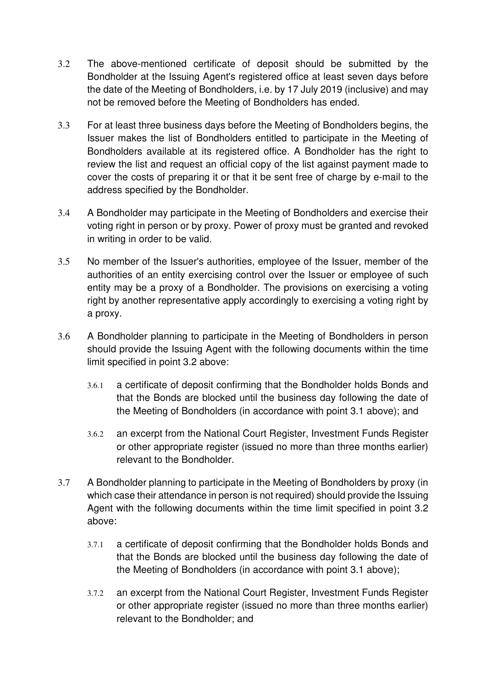- 3.2 The above-mentioned certificate of deposit should be submitted by the Bondholder at the Issuing Agent's registered office at least seven days before the date of the Meeting of Bondholders, i.e. by 17 July 2019 (inclusive) and may not be removed before the Meeting of Bondholders has ended.
- 3.3 For at least three business days before the Meeting of Bondholders begins, the Issuer makes the list of Bondholders entitled to participate in the Meeting of Bondholders available at its registered office. A Bondholder has the right to review the list and request an official copy of the list against payment made to cover the costs of preparing it or that it be sent free of charge by e-mail to the address specified by the Bondholder.
- 3.4 A Bondholder may participate in the Meeting of Bondholders and exercise their voting right in person or by proxy. Power of proxy must be granted and revoked in writing in order to be valid.
- 3.5 No member of the Issuer's authorities, employee of the Issuer, member of the authorities of an entity exercising control over the Issuer or employee of such entity may be a proxy of a Bondholder. The provisions on exercising a voting right by another representative apply accordingly to exercising a voting right by a proxy.
- 3.6 A Bondholder planning to participate in the Meeting of Bondholders in person should provide the Issuing Agent with the following documents within the time limit specified in point 3.2 above:
	- 3.6.1 a certificate of deposit confirming that the Bondholder holds Bonds and that the Bonds are blocked until the business day following the date of the Meeting of Bondholders (in accordance with point 3.1 above); and
	- 3.6.2 an excerpt from the National Court Register, Investment Funds Register or other appropriate register (issued no more than three months earlier) relevant to the Bondholder.
- 3.7 A Bondholder planning to participate in the Meeting of Bondholders by proxy (in which case their attendance in person is not required) should provide the Issuing Agent with the following documents within the time limit specified in point 3.2 above:
	- 3.7.1 a certificate of deposit confirming that the Bondholder holds Bonds and that the Bonds are blocked until the business day following the date of the Meeting of Bondholders (in accordance with point 3.1 above);
	- 3.7.2 an excerpt from the National Court Register, Investment Funds Register or other appropriate register (issued no more than three months earlier) relevant to the Bondholder; and